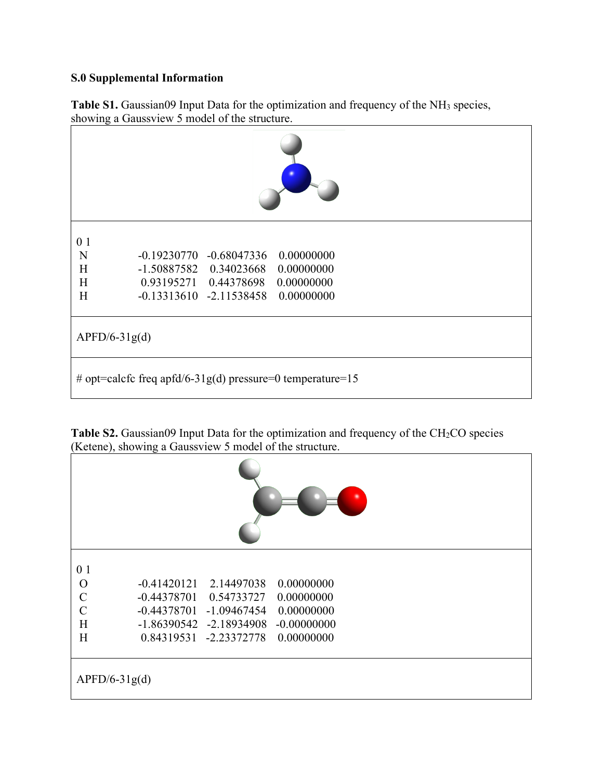## **S.0 Supplemental Information**

|  |                                               |  | Table S1. Gaussian09 Input Data for the optimization and frequency of the NH <sub>3</sub> species, |  |
|--|-----------------------------------------------|--|----------------------------------------------------------------------------------------------------|--|
|  | showing a Gaussview 5 model of the structure. |  |                                                                                                    |  |

| 0 <sub>1</sub><br>N                                       | $-0.19230770 -0.68047336$          | 0.00000000 |  |  |  |
|-----------------------------------------------------------|------------------------------------|------------|--|--|--|
| H                                                         | $-1.50887582$ 0.34023668           | 0.00000000 |  |  |  |
| H                                                         | 0.93195271  0.44378698  0.00000000 |            |  |  |  |
| H                                                         | $-0.13313610 -2.11538458$          | 0.00000000 |  |  |  |
|                                                           |                                    |            |  |  |  |
| $APFD/6-31g(d)$                                           |                                    |            |  |  |  |
| # opt=calcfc freq apfd/6-31g(d) pressure=0 temperature=15 |                                    |            |  |  |  |

**Table S2.** Gaussian09 Input Data for the optimization and frequency of the CH<sub>2</sub>CO species (Ketene), showing a Gaussview 5 model of the structure.

| 0 <sub>1</sub><br>$\Omega$<br>$\mathcal{C}$<br>$\overline{C}$<br>H<br>H | $-0.41420121$<br>$-0.44378701$<br>$-0.44378701$<br>$-1.09467454$<br>$-1.86390542$ $-2.18934908$<br>0.84319531 -2.23372778 | 2.14497038<br>0.00000000<br>0.54733727<br>0.00000000<br>0.00000000<br>$-0.00000000$<br>0.00000000 |  |  |  |
|-------------------------------------------------------------------------|---------------------------------------------------------------------------------------------------------------------------|---------------------------------------------------------------------------------------------------|--|--|--|
| $APFD/6-31g(d)$                                                         |                                                                                                                           |                                                                                                   |  |  |  |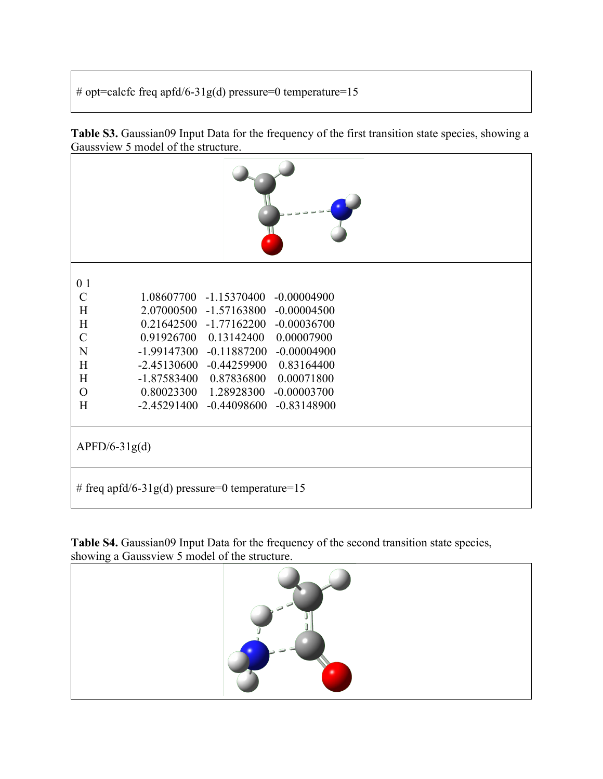# opt=calcfc freq apfd/6-31g(d) pressure=0 temperature=15

**Table S3.** Gaussian09 Input Data for the frequency of the first transition state species, showing a Gaussview 5 model of the structure.

| 0 <sub>1</sub>                                              |  |  |  |  |
|-------------------------------------------------------------|--|--|--|--|
| $\mathbf C$<br>1.08607700<br>$-1.15370400$<br>$-0.00004900$ |  |  |  |  |
| H<br>2.07000500<br>$-1.57163800 -0.00004500$                |  |  |  |  |
| H<br>0.21642500<br>$-0.00036700$<br>$-1.77162200$           |  |  |  |  |
| $\mathbf C$<br>0.13142400<br>0.91926700<br>0.00007900       |  |  |  |  |
| N<br>$-1.99147300$<br>$-0.11887200$<br>$-0.00004900$        |  |  |  |  |
| H<br>$-2.45130600$<br>$-0.44259900$<br>0.83164400           |  |  |  |  |
| H<br>$-1.87583400$<br>0.87836800<br>0.00071800              |  |  |  |  |
| 0.80023300<br>$\mathcal{O}$<br>1.28928300<br>$-0.00003700$  |  |  |  |  |
| H<br>$-2.45291400$<br>$-0.44098600$<br>$-0.83148900$        |  |  |  |  |
| $APFD/6-31g(d)$                                             |  |  |  |  |
| # freq apfd/6-31g(d) pressure=0 temperature=15              |  |  |  |  |

**Table S4.** Gaussian09 Input Data for the frequency of the second transition state species, showing a Gaussview 5 model of the structure.

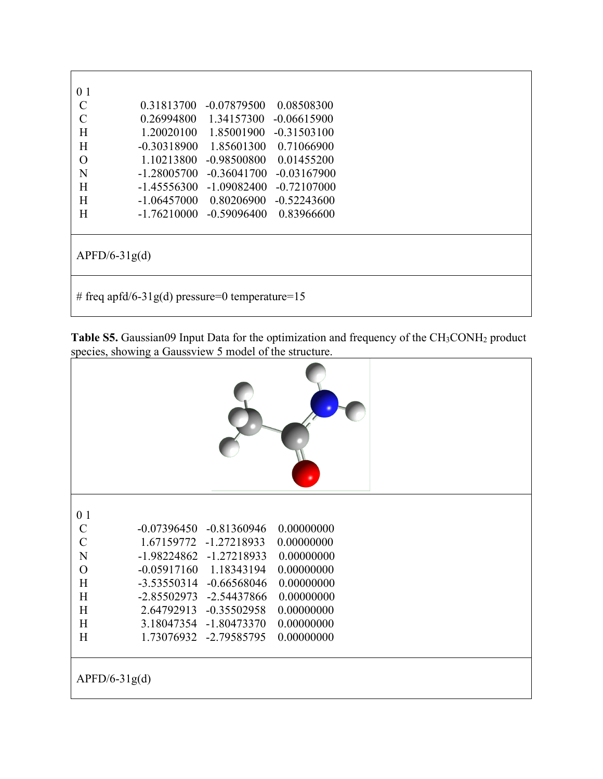| 0 1             |                                                |               |               |
|-----------------|------------------------------------------------|---------------|---------------|
| $\mathcal{C}$   | 0.31813700                                     | $-0.07879500$ | 0.08508300    |
| $\mathcal{C}$   | 0.26994800                                     | 1.34157300    | $-0.06615900$ |
| H               | 1.20020100                                     | 1.85001900    | $-0.31503100$ |
| H               | $-0.30318900$                                  | 1.85601300    | 0.71066900    |
| $\Omega$        | 1.10213800                                     | $-0.98500800$ | 0.01455200    |
| N               | $-1.28005700$                                  | $-0.36041700$ | $-0.03167900$ |
| H               | $-1.45556300$                                  | $-1.09082400$ | $-0.72107000$ |
| H               | $-1.06457000$                                  | 0.80206900    | $-0.52243600$ |
| H               | $-1.76210000$                                  | $-0.59096400$ | 0.83966600    |
|                 |                                                |               |               |
|                 |                                                |               |               |
| $APFD/6-31g(d)$ |                                                |               |               |
|                 |                                                |               |               |
|                 |                                                |               |               |
|                 | # freq apfd/6-31g(d) pressure=0 temperature=15 |               |               |

**Table S5.** Gaussian09 Input Data for the optimization and frequency of the CH<sub>3</sub>CONH<sub>2</sub> product species, showing a Gaussview 5 model of the structure.

| 0 <sub>1</sub>  |                                |            |  |  |  |
|-----------------|--------------------------------|------------|--|--|--|
| $\mathcal{C}$   | $-0.07396450$<br>$-0.81360946$ | 0.00000000 |  |  |  |
| $\mathcal{C}$   | $-1.27218933$<br>1.67159772    | 0.00000000 |  |  |  |
| $\overline{N}$  | $-1.98224862$<br>$-1.27218933$ | 0.00000000 |  |  |  |
| $\mathbf O$     | $-0.05917160$<br>1.18343194    | 0.00000000 |  |  |  |
| H               | $-3.53550314$<br>$-0.66568046$ | 0.00000000 |  |  |  |
| H               | $-2.85502973$<br>-2.54437866   | 0.00000000 |  |  |  |
| H               | 2.64792913<br>$-0.35502958$    | 0.00000000 |  |  |  |
| H               | 3.18047354<br>$-1.80473370$    | 0.00000000 |  |  |  |
| H               | 1.73076932<br>$-2.79585795$    | 0.00000000 |  |  |  |
| $APFD/6-31g(d)$ |                                |            |  |  |  |